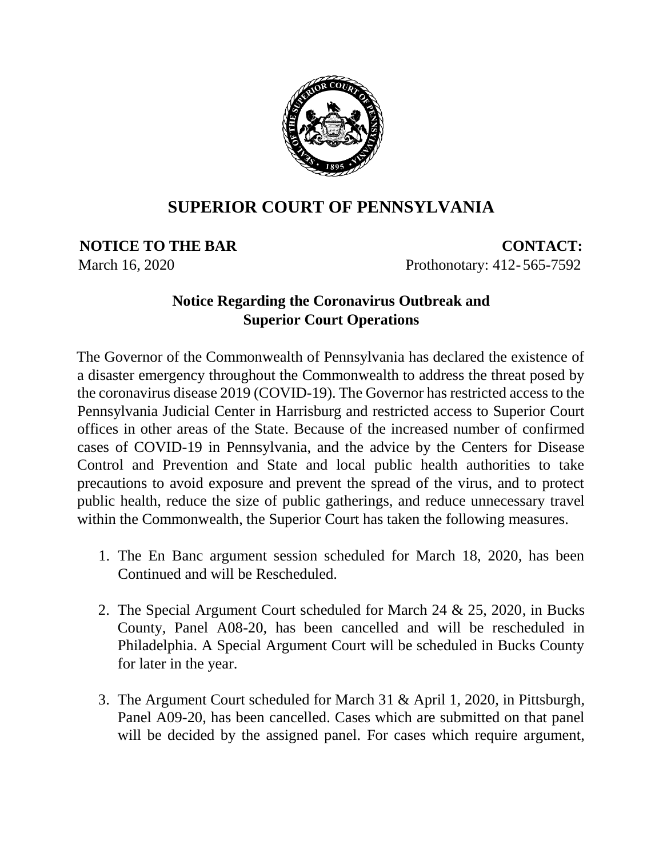

## **SUPERIOR COURT OF PENNSYLVANIA**

**NOTICE TO THE BAR CONTACT:** March 16, 2020 **Prothonotary: 412-565-7592** 

## **Notice Regarding the Coronavirus Outbreak and Superior Court Operations**

The Governor of the Commonwealth of Pennsylvania has declared the existence of a disaster emergency throughout the Commonwealth to address the threat posed by the coronavirus disease 2019 (COVID-19). The Governor has restricted access to the Pennsylvania Judicial Center in Harrisburg and restricted access to Superior Court offices in other areas of the State. Because of the increased number of confirmed cases of COVID-19 in Pennsylvania, and the advice by the Centers for Disease Control and Prevention and State and local public health authorities to take precautions to avoid exposure and prevent the spread of the virus, and to protect public health, reduce the size of public gatherings, and reduce unnecessary travel within the Commonwealth, the Superior Court has taken the following measures.

- 1. The En Banc argument session scheduled for March 18, 2020, has been Continued and will be Rescheduled.
- 2. The Special Argument Court scheduled for March 24 & 25, 2020, in Bucks County, Panel A08-20, has been cancelled and will be rescheduled in Philadelphia. A Special Argument Court will be scheduled in Bucks County for later in the year.
- 3. The Argument Court scheduled for March 31 & April 1, 2020, in Pittsburgh, Panel A09-20, has been cancelled. Cases which are submitted on that panel will be decided by the assigned panel. For cases which require argument,